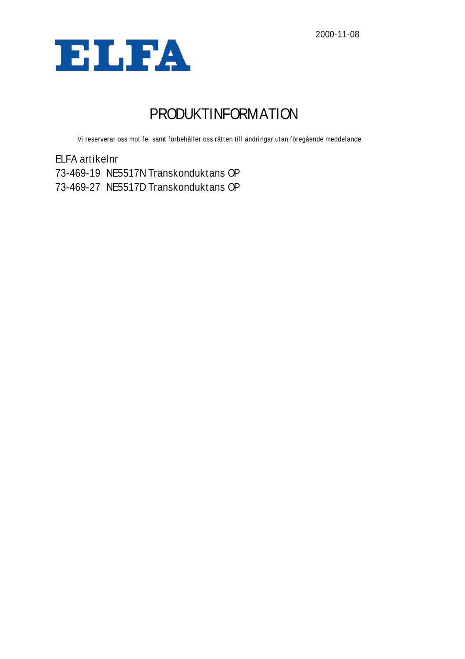

# PRODUKTINFORMATION

Vi reserverar oss mot fel samt förbehåller oss rätten till ändringar utan föregående meddelande

ELFA artikelnr 73-469-19 NE5517N Transkonduktans OP 73-469-27 NE5517D Transkonduktans OP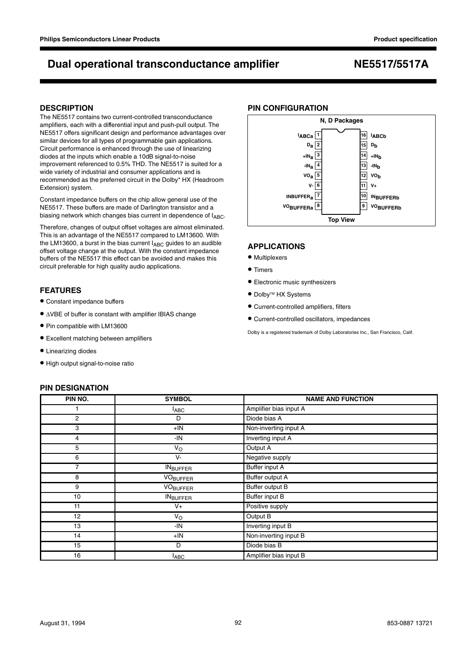### **DESCRIPTION**

The NE5517 contains two current-controlled transconductance amplifiers, each with a differential input and push-pull output. The NE5517 offers significant design and performance advantages over similar devices for all types of programmable gain applications. Circuit performance is enhanced through the use of linearizing diodes at the inputs which enable a 10dB signal-to-noise improvement referenced to 0.5% THD. The NE5517 is suited for a wide variety of industrial and consumer applications and is recommended as the preferred circuit in the Dolby\* HX (Headroom Extension) system.

Constant impedance buffers on the chip allow general use of the NE5517. These buffers are made of Darlington transistor and a biasing network which changes bias current in dependence of  $I_{ABC}$ .

Therefore, changes of output offset voltages are almost eliminated. This is an advantage of the NE5517 compared to LM13600. With the LM13600, a burst in the bias current  $I_{ABC}$  guides to an audible offset voltage change at the output. With the constant impedance buffers of the NE5517 this effect can be avoided and makes this circuit preferable for high quality audio applications.

### **FEATURES**

- Constant impedance buffers
- <sup>∆</sup>VBE of buffer is constant with amplifier IBIAS change
- Pin compatible with LM13600
- Excellent matching between amplifiers
- Linearizing diodes
- High output signal-to-noise ratio

### **PIN DESIGNATION**

## **PIN NO.** SYMBOL SYMBOL **NAME AND FUNCTION** 1 **IABC Amplifier bias input A**  $\blacksquare$ 2 D Diode bias A 3 +IN Non-inverting input A 4 **IN** Inverting input A  $V_{\text{O}}$  Output A 6 V- V- Negative supply 7 INBUFFER Buffer input A 8 VO<sub>BUFFER</sub> Buffer output A 9 VO<sub>BUFFER</sub> Buffer output B 10 INBUFFER Buffer input B 11 and 1 and 1 and 1 and 1 and 1 and 1 and 1 and 1 and 1 and 1 and 1 and 1 and 1 and 1 and 1 and 1 and 1 and 1 and 1 and 1 and 1 and 1 and 1 and 1 and 1 and 1 and 1 and 1 and 1 and 1 and 1 and 1 and 1 and 1 and 1 and 1 and 12 V<sub>O</sub> V<sub>O</sub> Output B 13 | Inverting input B 14 +IN Non-inverting input B 15 D D D D Diode bias B 16 **I**<sub>ABC</sub> I<sub>ABC</sub> Amplifier bias input B



### **APPLICATIONS**

- Multiplexers
- Timers
- Electronic music synthesizers
- Dolby<sup>™</sup> HX Systems
- Current-controlled amplifiers, filters
- Current-controlled oscillators, impedances

Dolby is a registered trademark of Dolby Laboratories Inc., San Francisco, Calif.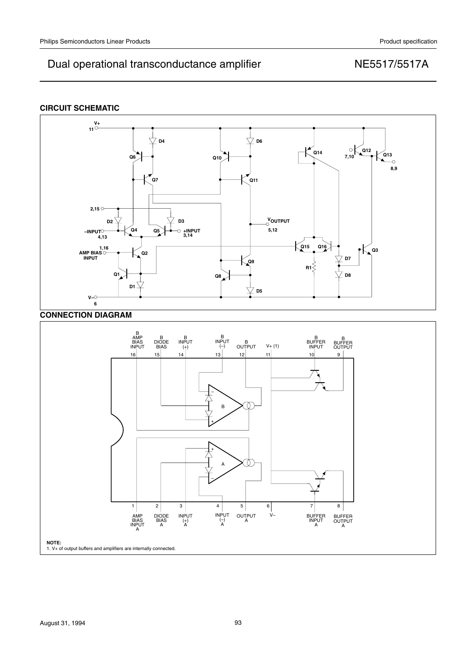## **CIRCUIT SCHEMATIC**

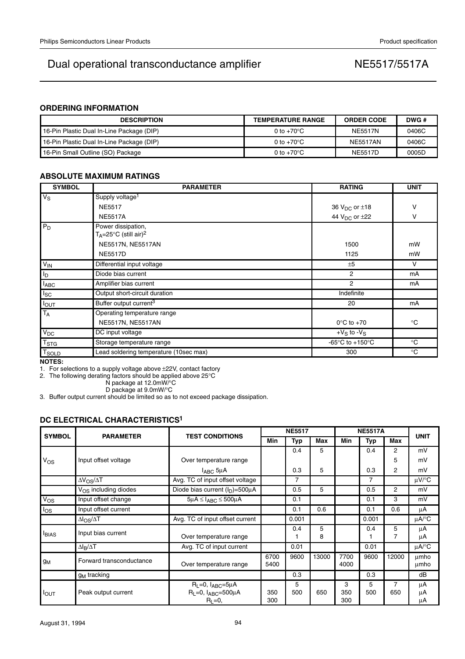## **ORDERING INFORMATION**

| <b>DESCRIPTION</b>                        | <b>TEMPERATURE RANGE</b> | <b>ORDER CODE</b> | DWG # |
|-------------------------------------------|--------------------------|-------------------|-------|
| 16-Pin Plastic Dual In-Line Package (DIP) | 0 to $+70^{\circ}$ C     | <b>NE5517N</b>    | 0406C |
| 16-Pin Plastic Dual In-Line Package (DIP) | 0 to +70°C               | <b>NE5517AN</b>   | 0406C |
| 16-Pin Small Outline (SO) Package         | 0 to $+70^{\circ}$ C     | <b>NE5517D</b>    | 0005D |

## **ABSOLUTE MAXIMUM RATINGS**

| <b>SYMBOL</b>     | <b>PARAMETER</b>                                                         | <b>RATING</b>                                         | <b>UNIT</b> |
|-------------------|--------------------------------------------------------------------------|-------------------------------------------------------|-------------|
| $V_S$             | Supply voltage <sup>1</sup>                                              |                                                       |             |
|                   | <b>NE5517</b>                                                            | 36 $V_{DC}$ or $\pm$ 18                               | v           |
|                   | <b>NE5517A</b>                                                           | 44 $V_{DC}$ or $\pm$ 22                               | v           |
| $P_D$             | Power dissipation,<br>$T_A = 25^\circ \text{C}$ (still air) <sup>2</sup> |                                                       |             |
|                   | NE5517N, NE5517AN                                                        | 1500                                                  | mW          |
|                   | <b>NE5517D</b>                                                           | 1125                                                  | mW          |
| $V_{IN}$          | Differential input voltage                                               | ±5                                                    | v           |
| I <sub>D</sub>    | Diode bias current                                                       | 2                                                     | mA          |
| $I_{ABC}$         | Amplifier bias current                                                   | $\overline{2}$                                        | mA          |
| $I_{SC}$          | Output short-circuit duration                                            | Indefinite                                            |             |
| <b>I</b> OUT      | Buffer output current <sup>3</sup>                                       | 20                                                    | mA          |
| $T_A$             | Operating temperature range                                              |                                                       |             |
|                   | NE5517N, NE5517AN                                                        | $0^{\circ}$ C to $+70^{\circ}$                        | $^{\circ}C$ |
| $V_{DC}$          | DC input voltage                                                         | $+V_S$ to $-V_S$                                      |             |
| T <sub>STG</sub>  | Storage temperature range                                                | -65 $\mathrm{^{\circ}C}$ to +150 $\mathrm{^{\circ}C}$ | $^{\circ}C$ |
| T <sub>SOLD</sub> | Lead soldering temperature (10sec max)                                   | 300                                                   | $^{\circ}C$ |
| NATEO.            |                                                                          |                                                       |             |

**NOTES:**

1. For selections to a supply voltage above ±22V, contact factory

2. The following derating factors should be applied above 25°C

N package at 12.0mW/°C

D package at 9.0mW/°C

3. Buffer output current should be limited so as to not exceed package dissipation.

## **DC ELECTRICAL CHARACTERISTICS1**

| <b>SYMBOL</b>    | <b>PARAMETER</b>          | <b>TEST CONDITIONS</b>                                                             | <b>NE5517</b> |          |        | <b>NE5517A</b>  |            |          |                |
|------------------|---------------------------|------------------------------------------------------------------------------------|---------------|----------|--------|-----------------|------------|----------|----------------|
|                  |                           |                                                                                    | Min           | Typ      | Max    | Min             | <b>Typ</b> | Max      | <b>UNIT</b>    |
|                  |                           |                                                                                    |               | 0.4      | 5      |                 | 0.4        | 2        | mV             |
| Vos              | Input offset voltage      | Over temperature range                                                             |               |          |        |                 |            | 5        | mV             |
|                  |                           | $I_{ABC}$ 5µA                                                                      |               | 0.3      | 5      |                 | 0.3        | 2        | mV             |
|                  | $\Delta V_{OS}/\Delta T$  | Avg. TC of input offset voltage                                                    |               | 7        |        |                 | 7          |          | µV/°C          |
|                  | $V_{OS}$ including diodes | Diode bias current $(I_D) = 500 \mu A$                                             |               | 0.5      | 5      |                 | 0.5        | 2        | mV             |
| Vos              | Input offset change       | $5\mu A \leq I_{ABC} \leq 500\mu A$                                                |               | 0.1      |        |                 | 0.1        | 3        | mV             |
| $I_{OS}$         | Input offset current      |                                                                                    |               | 0.1      | 0.6    |                 | 0.1        | 0.6      | μA             |
|                  | $\Delta I_{OS}/\Delta T$  | Avg. TC of input offset current                                                    |               | 0.001    |        |                 | 0.001      |          | uA/°C          |
| <b>I</b> BIAS    | Input bias current        | Over temperature range                                                             |               | 0.4      | 5<br>8 |                 | 0.4        | 5<br>7   | μA<br>μA       |
|                  | $\Delta I_R/\Delta T$     | Avg. TC of input current                                                           |               | 0.01     |        |                 | 0.01       |          | $\mu$ A/°C     |
| gм               | Forward transconductance  | Over temperature range                                                             | 6700<br>5400  | 9600     | 13000  | 7700<br>4000    | 9600       | 12000    | umho<br>umho   |
|                  | $g_M$ tracking            |                                                                                    |               | 0.3      |        |                 | 0.3        |          | dB             |
| $I_{\text{OUT}}$ | Peak output current       | $R_L = 0$ , $I_{ABC} = 5\mu A$<br>$R_L = 0$ , $I_{ABC} = 500 \mu A$<br>$R_L = 0$ , | 350<br>300    | 5<br>500 | 650    | 3<br>350<br>300 | 5<br>500   | 7<br>650 | μA<br>μA<br>μA |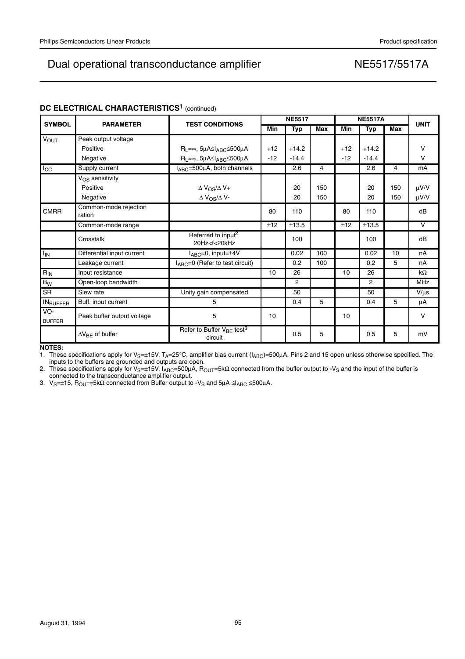| <b>SYMBOL</b>        | <b>PARAMETER</b>                | <b>TEST CONDITIONS</b>                                                                                                                    | <b>NE5517</b> |                |     | <b>NE5517A</b> |                |     | <b>UNIT</b> |
|----------------------|---------------------------------|-------------------------------------------------------------------------------------------------------------------------------------------|---------------|----------------|-----|----------------|----------------|-----|-------------|
|                      |                                 |                                                                                                                                           | Min           | <b>Typ</b>     | Max | Min            | <b>Typ</b>     | Max |             |
| <b>VOUT</b>          | Peak output voltage             |                                                                                                                                           |               |                |     |                |                |     |             |
|                      | Positive                        | $R_L = \infty$ , $5\mu$ A $\leq$ I <sub>ABC</sub> $\leq$ 500 $\mu$ A                                                                      | $+12$         | $+14.2$        |     | $+12$          | $+14.2$        |     | $\vee$      |
|                      | Negative                        | $R_L = \infty$ , $5\mu$ A $\leq$ I <sub>ABC</sub> $\leq$ 500 $\mu$ A                                                                      | $-12$         | $-14.4$        |     | $-12$          | $-14.4$        |     | $\vee$      |
| $I_{\rm CC}$         | Supply current                  | $I_{ABC} = 500 \mu A$ , both channels                                                                                                     |               | 2.6            | 4   |                | 2.6            | 4   | mA          |
|                      | V <sub>OS</sub> sensitivity     |                                                                                                                                           |               |                |     |                |                |     |             |
|                      | Positive                        | $\Delta$ V <sub>OS</sub> / $\Delta$ V+                                                                                                    |               | 20             | 150 |                | 20             | 150 | $\mu$ V/V   |
|                      | Negative                        | $\Delta$ V <sub>OS</sub> / $\Delta$ V-                                                                                                    |               | 20             | 150 |                | 20             | 150 | $\mu$ V/V   |
| <b>CMRR</b>          | Common-mode rejection<br>ration |                                                                                                                                           | 80            | 110            |     | 80             | 110            |     | dB          |
|                      | Common-mode range               |                                                                                                                                           | ±12           | ±13.5          |     | ±12            | ±13.5          |     | $\vee$      |
|                      | Crosstalk                       | Referred to input <sup>2</sup><br>20Hz <f<20khz< td=""><td></td><td>100</td><td></td><td></td><td>100</td><td></td><td>dB</td></f<20khz<> |               | 100            |     |                | 100            |     | dB          |
| $I_{IN}$             | Differential input current      | $I_{ABC} = 0$ , input= $\pm 4V$                                                                                                           |               | 0.02           | 100 |                | 0.02           | 10  | nA          |
|                      | Leakage current                 | $I_{ABC}=0$ (Refer to test circuit)                                                                                                       |               | 0.2            | 100 |                | 0.2            | 5   | nA          |
| $R_{\rm IN}$         | Input resistance                |                                                                                                                                           | 10            | 26             |     | 10             | 26             |     | $k\Omega$   |
| $B_{\underline{W}}$  | Open-loop bandwidth             |                                                                                                                                           |               | $\overline{2}$ |     |                | $\overline{2}$ |     | <b>MHz</b>  |
| <b>SR</b>            | Slew rate                       | Unity gain compensated                                                                                                                    |               | 50             |     |                | 50             |     | $V/\mu s$   |
| <b>INBUFFER</b>      | Buff. input current             | 5                                                                                                                                         |               | 0.4            | 5   |                | 0.4            | 5   | μA          |
| VO-<br><b>BUFFER</b> | Peak buffer output voltage      | 5                                                                                                                                         | 10            |                |     | 10             |                |     | $\vee$      |
|                      | $\Delta V_{BF}$ of buffer       | Refer to Buffer $V_{BE}$ test <sup>3</sup><br>circuit                                                                                     |               | 0.5            | 5   |                | 0.5            | 5   | mV          |

## **DC ELECTRICAL CHARACTERISTICS<sup>1</sup> (continued)**

**NOTES:**

1. These specifications apply for V<sub>S</sub>=±15V, T<sub>A</sub>=25°C, amplifier bias current (I<sub>ABC</sub>)=500μA, Pins 2 and 15 open unless otherwise specified. The inputs to the buffers are grounded and outputs are open.

2. These specifications apply for V<sub>S</sub>=±15V, I<sub>ABC</sub>=500μA, R<sub>OUT</sub>=5kΩ connected from the buffer output to -V<sub>S</sub> and the input of the buffer is<br>connected to the transconductance amplifier output.

3. V<sub>S</sub>=±15, R<sub>OUT</sub>=5kΩ connected from Buffer output to -V<sub>S</sub> and 5μA ≤I<sub>ABC</sub> ≤500μA.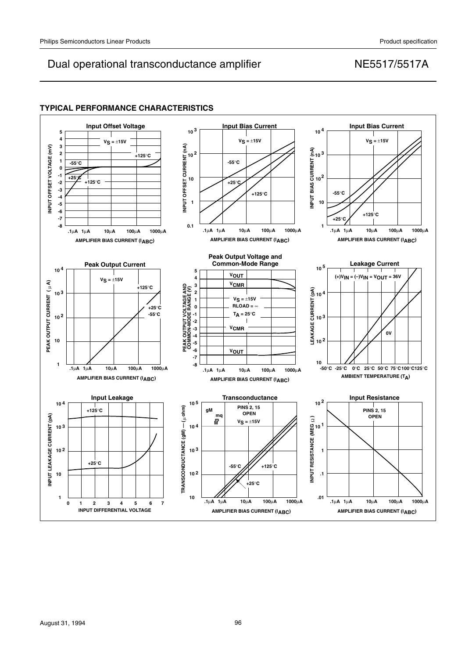## **TYPICAL PERFORMANCE CHARACTERISTICS**

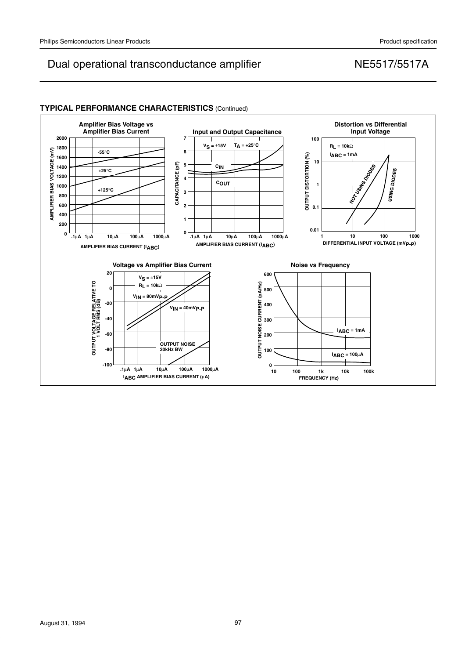

## **TYPICAL PERFORMANCE CHARACTERISTICS** (Continued)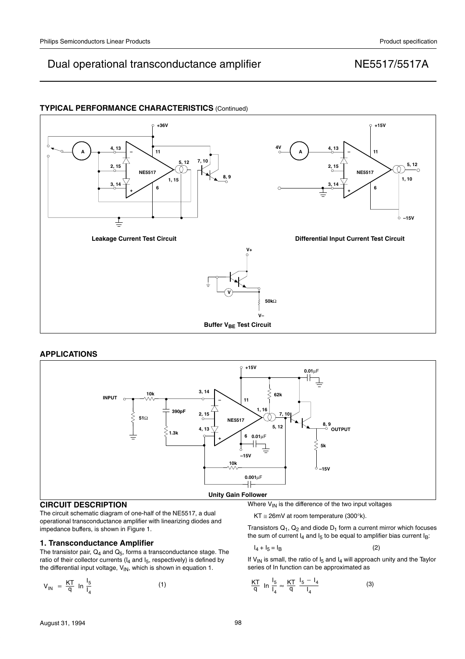## **TYPICAL PERFORMANCE CHARACTERISTICS** (Continued)



### **APPLICATIONS**



### **CIRCUIT DESCRIPTION**

The circuit schematic diagram of one-half of the NE5517, a dual operational transconductance amplifier with linearizing diodes and impedance buffers, is shown in Figure 1.

### **1. Transconductance Amplifier**

The transistor pair,  $Q_4$  and  $Q_5$ , forms a transconductance stage. The ratio of their collector currents ( $I_4$  and  $I_5$ , respectively) is defined by the differential input voltage,  $\mathsf{V}_{\mathsf{IN}}$ , which is shown in equation 1.

$$
V_{IN} = \frac{KT}{q} \ln \frac{I_5}{I_4}
$$
 (1)

Where  $V_{IN}$  is the difference of the two input voltages

KT  $\cong$  26mV at room temperature (300°k).

Transistors  $Q_1$ ,  $Q_2$  and diode  $D_1$  form a current mirror which focuses the sum of current  $I_4$  and  $I_5$  to be equal to amplifier bias current  $I_B$ :

$$
I_4 + I_5 = I_B \tag{2}
$$

If  $V_{\text{IN}}$  is small, the ratio of  $I_5$  and  $I_4$  will approach unity and the Taylor series of In function can be approximated as

$$
\frac{KT}{q} \ln \frac{I_5}{I_4} \approx \frac{KT}{q} \frac{I_5 - I_4}{I_4} \tag{3}
$$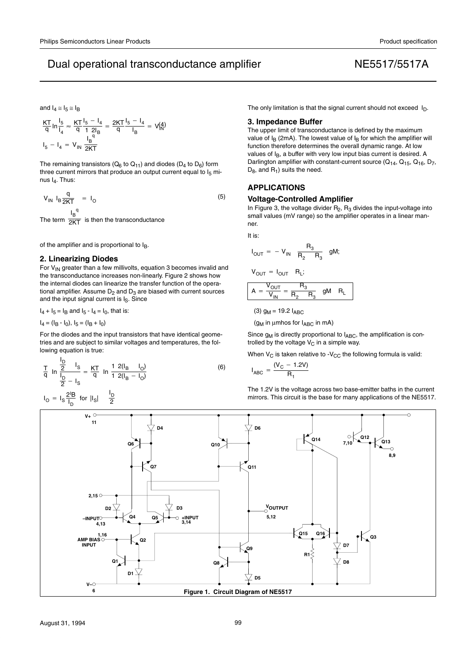and  $I_4 \approx I_5 \approx I_B$ 

$$
\frac{KT}{q} \ln \frac{I_5}{I_4} \approx \frac{KT}{q} \frac{I_5 - I_4}{1 2I_B} = \frac{2KT}{q} \frac{I_5 - I_4}{I_B} = V_{1N}^{(4)}
$$

$$
I_5 - I_4 = V_{1N} \frac{I_B}{2KT}
$$

The remaining transistors ( $Q_6$  to  $Q_{11}$ ) and diodes ( $D_4$  to  $D_6$ ) form three current mirrors that produce an output current equal to  $I_5$  minus  $I_4$ . Thus:

$$
V_{IN} I_B \frac{q}{2KT} = I_O
$$
 (5)  
The term  $\frac{I_B^q}{2KT}$  is then the transconductance

 $\overline{\mathsf{2KT}}$  is then the transconductance

of the amplifier and is proportional to  $I_B$ .

#### **2. Linearizing Diodes**

For  $V_{IN}$  greater than a few millivolts, equation 3 becomes invalid and the transconductance increases non-linearly. Figure 2 shows how the internal diodes can linearize the transfer function of the operational amplifier. Assume  $D_2$  and  $D_3$  are biased with current sources and the input signal current is  $I_S$ . Since

 $I_4 + I_5 = I_B$  and  $I_5 - I_4 = I_0$ , that is:

 $I_4 = (I_B - I_0), I_5 = (I_B + I_0)$ 

For the diodes and the input transistors that have identical geometries and are subject to similar voltages and temperatures, the following equation is true:

$$
\frac{T}{q} \ln \frac{\frac{I_D}{2} - I_S}{\frac{I_D}{2} - I_S} = \frac{KT}{q} \ln \frac{1 \ 2(I_B - I_O)}{1 \ 2(I_B - I_O)}
$$
(6)

$$
I_{\text{O}} = I_{\text{S}} \frac{2^{1}B}{I_{\text{D}}}
$$
 for  $|I_{\text{S}}| = \frac{I_{\text{D}}}{2}$ 

The only limitation is that the signal current should not exceed  $I_D$ .

#### **3. Impedance Buffer**

The upper limit of transconductance is defined by the maximum value of  $I_B$  (2mA). The lowest value of  $I_B$  for which the amplifier will function therefore determines the overall dynamic range. At low values of  $I<sub>B</sub>$ , a buffer with very low input bias current is desired. A Darlington amplifier with constant-current source  $(Q_{14}, Q_{15}, Q_{16}, D_7, Q_{16})$  $D_8$ , and  $R_1$ ) suits the need.

### **APPLICATIONS**

#### **Voltage-Controlled Amplifier**

In Figure 3, the voltage divider  $R_2$ ,  $R_3$  divides the input-voltage into small values (mV range) so the amplifier operates in a linear manner.

It is:

$$
I_{OUT} = -V_{IN} \frac{R_3}{R_2 - R_3}
$$
gM;

$$
V_{OUT} = I_{OUT} \quad R_L;
$$

$$
A = \frac{V_{OUT}}{V_{IN}} = \frac{R_3}{R_2 - R_3} \quad \text{gM} \quad R_L
$$

(3)  $g_M = 19.2$   $I_{ABC}$ 

( $g_M$  in µmhos for  $I_{ABC}$  in mA)

Since  $g_M$  is directly proportional to  $I_{ABC}$ , the amplification is controlled by the voltage  $V_C$  in a simple way.

When  $V_C$  is taken relative to - $V_{CC}$  the following formula is valid:

$$
I_{ABC} = \frac{(V_C - 1.2V)}{R_1}
$$

The 1.2V is the voltage across two base-emitter baths in the current mirrors. This circuit is the base for many applications of the NE5517.

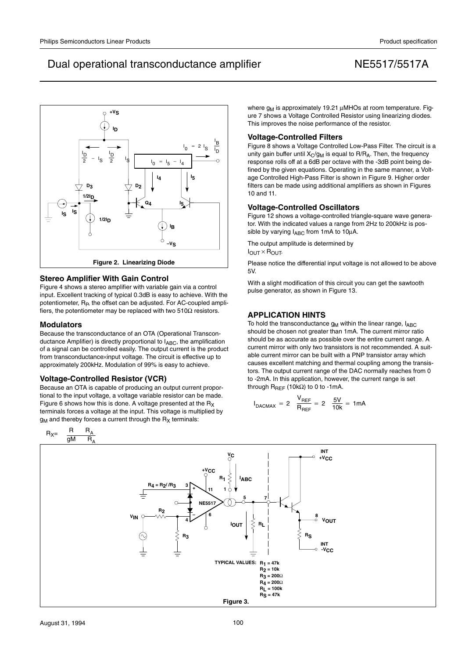

### **Stereo Amplifier With Gain Control**

Figure 4 shows a stereo amplifier with variable gain via a control input. Excellent tracking of typical 0.3dB is easy to achieve. With the potentiometer, R<sub>P</sub>, the offset can be adjusted. For AC-coupled amplifiers, the potentiometer may be replaced with two  $510\Omega$  resistors.

#### **Modulators**

Because the transconductance of an OTA (Operational Transconductance Amplifier) is directly proportional to  $I_{ABC}$ , the amplification of a signal can be controlled easily. The output current is the product from transconductance×input voltage. The circuit is effective up to approximately 200kHz. Modulation of 99% is easy to achieve.

### **Voltage-Controlled Resistor (VCR)**

Because an OTA is capable of producing an output current proportional to the input voltage, a voltage variable resistor can be made. Figure 6 shows how this is done. A voltage presented at the  $R_X$ terminals forces a voltage at the input. This voltage is multiplied by  $g_M$  and thereby forces a current through the  $R_X$  terminals:

where  $g_M$  is approximately 19.21  $\mu$ MHOs at room temperature. Figure 7 shows a Voltage Controlled Resistor using linearizing diodes. This improves the noise performance of the resistor.

### **Voltage-Controlled Filters**

Figure 8 shows a Voltage Controlled Low-Pass Filter. The circuit is a unity gain buffer until  $X_{C}$ /g<sub>M</sub> is equal to R/R<sub>A</sub>. Then, the frequency response rolls off at a 6dB per octave with the -3dB point being defined by the given equations. Operating in the same manner, a Voltage Controlled High-Pass Filter is shown in Figure 9. Higher order filters can be made using additional amplifiers as shown in Figures 10 and 11.

### **Voltage-Controlled Oscillators**

Figure 12 shows a voltage-controlled triangle-square wave generator. With the indicated values a range from 2Hz to 200kHz is possible by varying  $I_{ABC}$  from 1mA to 10 $\mu$ A.

The output amplitude is determined by

 $I_{OUT} \times R_{OUT}$ 

Please notice the differential input voltage is not allowed to be above 5V.

With a slight modification of this circuit you can get the sawtooth pulse generator, as shown in Figure 13.

### **APPLICATION HINTS**

To hold the transconductance  $g_M$  within the linear range,  $I_{ABC}$ should be chosen not greater than 1mA. The current mirror ratio should be as accurate as possible over the entire current range. A current mirror with only two transistors is not recommended. A suitable current mirror can be built with a PNP transistor array which causes excellent matching and thermal coupling among the transistors. The output current range of the DAC normally reaches from 0 to -2mA. In this application, however, the current range is set through  $R_{REF}$  (10kΩ) to 0 to -1mA.

$$
I_{\text{DACMAX}} = 2 \quad \frac{V_{\text{REF}}}{R_{\text{REF}}} = 2 \quad \frac{5V}{10k} = 1 \text{mA}
$$

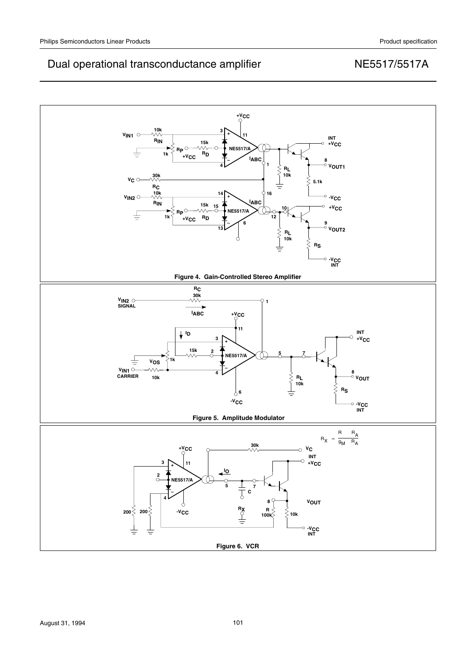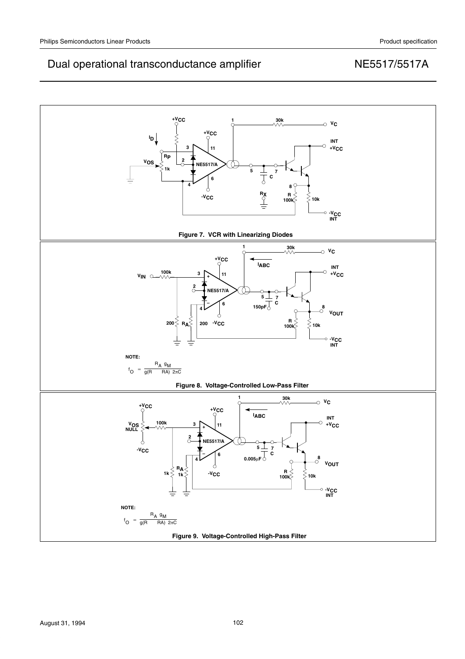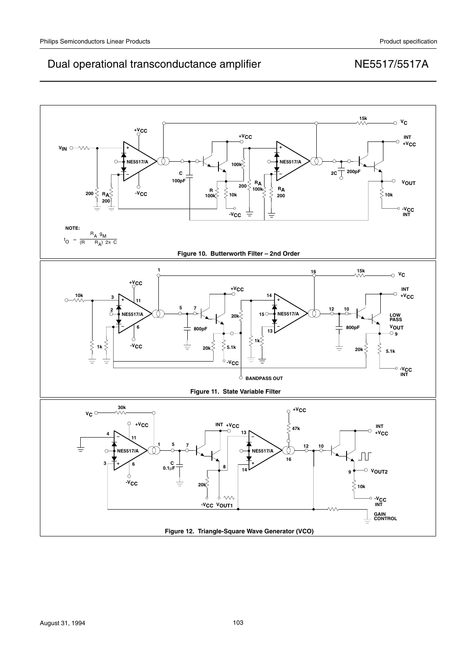